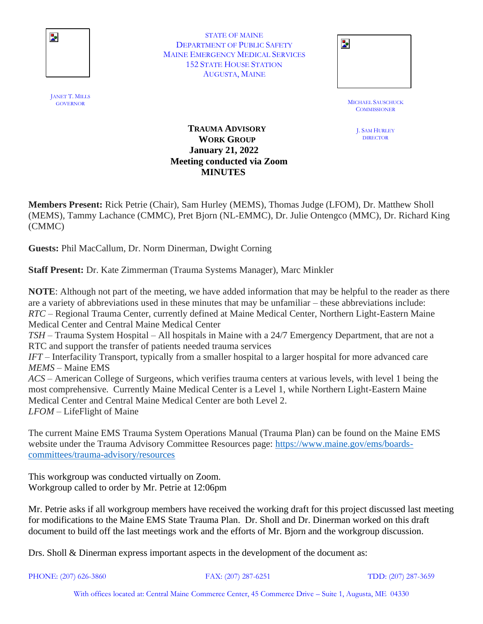

STATE OF MAINE DEPARTMENT OF PUBLIC SAFETY MAINE EMERGENCY MEDICAL SERVICES 152 STATE HOUSE STATION AUGUSTA, MAINE

| STATE OF MAINE                  |  |
|---------------------------------|--|
| TMENT OF PUBLIC SAFETY          |  |
| <b>ERGENCY MEDICAL SERVICES</b> |  |
| <b>STATE HOUSE STATION</b>      |  |
| AUGUSTA, MAINE                  |  |
|                                 |  |

MICHAEL SAUSCHUCK<br>GOVERNOR **COMMISSIONER** 

> J. SAM HURLEY DIRECTOR

## **TRAUMA ADVISORY WORK GROUP January 21, 2022 Meeting conducted via Zoom MINUTES**

**Members Present:** Rick Petrie (Chair), Sam Hurley (MEMS), Thomas Judge (LFOM), Dr. Matthew Sholl (MEMS), Tammy Lachance (CMMC), Pret Bjorn (NL-EMMC), Dr. Julie Ontengco (MMC), Dr. Richard King (CMMC)

**Guests:** Phil MacCallum, Dr. Norm Dinerman, Dwight Corning

**Staff Present:** Dr. Kate Zimmerman (Trauma Systems Manager), Marc Minkler

**NOTE**: Although not part of the meeting, we have added information that may be helpful to the reader as there are a variety of abbreviations used in these minutes that may be unfamiliar – these abbreviations include: *RTC* – Regional Trauma Center, currently defined at Maine Medical Center, Northern Light-Eastern Maine Medical Center and Central Maine Medical Center *TSH* – Trauma System Hospital – All hospitals in Maine with a 24/7 Emergency Department, that are not a RTC and support the transfer of patients needed trauma services *IFT* – Interfacility Transport, typically from a smaller hospital to a larger hospital for more advanced care *MEMS* – Maine EMS *ACS* – American College of Surgeons, which verifies trauma centers at various levels, with level 1 being the most comprehensive. Currently Maine Medical Center is a Level 1, while Northern Light-Eastern Maine Medical Center and Central Maine Medical Center are both Level 2.

*LFOM* – LifeFlight of Maine

The current Maine EMS Trauma System Operations Manual (Trauma Plan) can be found on the Maine EMS website under the Trauma Advisory Committee Resources page: [https://www.maine.gov/ems/boards](https://www.maine.gov/ems/boards-committees/trauma-advisory/resources)[committees/trauma-advisory/resources](https://www.maine.gov/ems/boards-committees/trauma-advisory/resources)

This workgroup was conducted virtually on Zoom. Workgroup called to order by Mr. Petrie at 12:06pm

Mr. Petrie asks if all workgroup members have received the working draft for this project discussed last meeting for modifications to the Maine EMS State Trauma Plan. Dr. Sholl and Dr. Dinerman worked on this draft document to build off the last meetings work and the efforts of Mr. Bjorn and the workgroup discussion.

Drs. Sholl & Dinerman express important aspects in the development of the document as:

PHONE: (207) 626-3860 FAX: (207) 287-6251 TDD: (207) 287-3659

With offices located at: Central Maine Commerce Center, 45 Commerce Drive – Suite 1, Augusta, ME 04330

JANET T. MILLS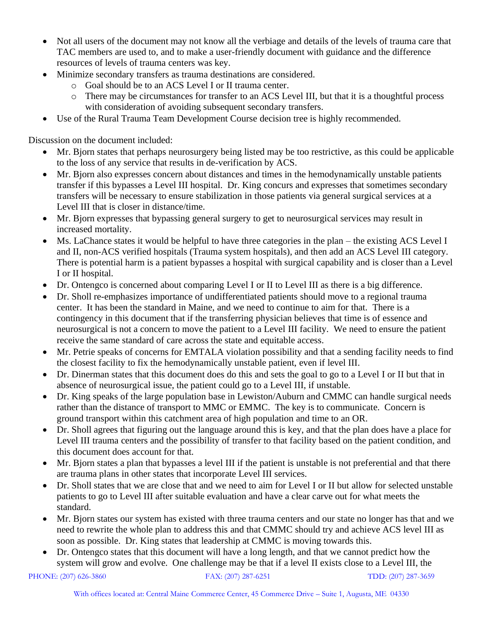- Not all users of the document may not know all the verbiage and details of the levels of trauma care that TAC members are used to, and to make a user-friendly document with guidance and the difference resources of levels of trauma centers was key.
- Minimize secondary transfers as trauma destinations are considered.
	- o Goal should be to an ACS Level I or II trauma center.
	- o There may be circumstances for transfer to an ACS Level III, but that it is a thoughtful process with consideration of avoiding subsequent secondary transfers.
- Use of the Rural Trauma Team Development Course decision tree is highly recommended.

Discussion on the document included:

- Mr. Bjorn states that perhaps neurosurgery being listed may be too restrictive, as this could be applicable to the loss of any service that results in de-verification by ACS.
- Mr. Bjorn also expresses concern about distances and times in the hemodynamically unstable patients transfer if this bypasses a Level III hospital. Dr. King concurs and expresses that sometimes secondary transfers will be necessary to ensure stabilization in those patients via general surgical services at a Level III that is closer in distance/time.
- Mr. Bjorn expresses that bypassing general surgery to get to neurosurgical services may result in increased mortality.
- Ms. LaChance states it would be helpful to have three categories in the plan the existing ACS Level I and II, non-ACS verified hospitals (Trauma system hospitals), and then add an ACS Level III category. There is potential harm is a patient bypasses a hospital with surgical capability and is closer than a Level I or II hospital.
- Dr. Ontengco is concerned about comparing Level I or II to Level III as there is a big difference.
- Dr. Sholl re-emphasizes importance of undifferentiated patients should move to a regional trauma center. It has been the standard in Maine, and we need to continue to aim for that. There is a contingency in this document that if the transferring physician believes that time is of essence and neurosurgical is not a concern to move the patient to a Level III facility. We need to ensure the patient receive the same standard of care across the state and equitable access.
- Mr. Petrie speaks of concerns for EMTALA violation possibility and that a sending facility needs to find the closest facility to fix the hemodynamically unstable patient, even if level III.
- Dr. Dinerman states that this document does do this and sets the goal to go to a Level I or II but that in absence of neurosurgical issue, the patient could go to a Level III, if unstable.
- Dr. King speaks of the large population base in Lewiston/Auburn and CMMC can handle surgical needs rather than the distance of transport to MMC or EMMC. The key is to communicate. Concern is ground transport within this catchment area of high population and time to an OR.
- Dr. Sholl agrees that figuring out the language around this is key, and that the plan does have a place for Level III trauma centers and the possibility of transfer to that facility based on the patient condition, and this document does account for that.
- Mr. Bjorn states a plan that bypasses a level III if the patient is unstable is not preferential and that there are trauma plans in other states that incorporate Level III services.
- Dr. Sholl states that we are close that and we need to aim for Level I or II but allow for selected unstable patients to go to Level III after suitable evaluation and have a clear carve out for what meets the standard.
- Mr. Bjorn states our system has existed with three trauma centers and our state no longer has that and we need to rewrite the whole plan to address this and that CMMC should try and achieve ACS level III as soon as possible. Dr. King states that leadership at CMMC is moving towards this.
- Dr. Ontengco states that this document will have a long length, and that we cannot predict how the system will grow and evolve. One challenge may be that if a level II exists close to a Level III, the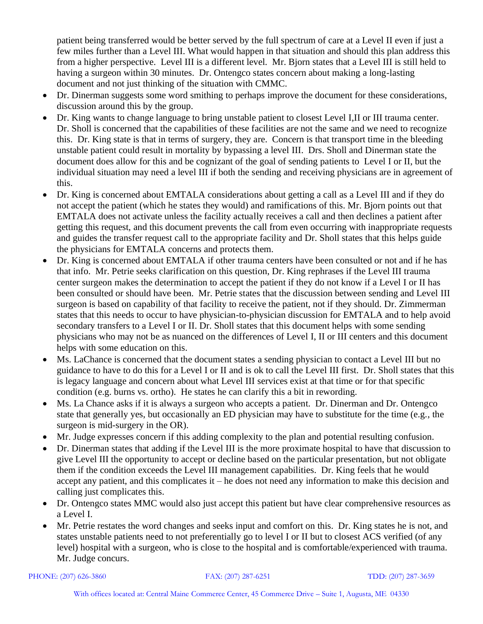patient being transferred would be better served by the full spectrum of care at a Level II even if just a few miles further than a Level III. What would happen in that situation and should this plan address this from a higher perspective. Level III is a different level. Mr. Bjorn states that a Level III is still held to having a surgeon within 30 minutes. Dr. Ontengco states concern about making a long-lasting document and not just thinking of the situation with CMMC.

- Dr. Dinerman suggests some word smithing to perhaps improve the document for these considerations, discussion around this by the group.
- Dr. King wants to change language to bring unstable patient to closest Level I,II or III trauma center. Dr. Sholl is concerned that the capabilities of these facilities are not the same and we need to recognize this. Dr. King state is that in terms of surgery, they are. Concern is that transport time in the bleeding unstable patient could result in mortality by bypassing a level III. Drs. Sholl and Dinerman state the document does allow for this and be cognizant of the goal of sending patients to Level I or II, but the individual situation may need a level III if both the sending and receiving physicians are in agreement of this.
- Dr. King is concerned about EMTALA considerations about getting a call as a Level III and if they do not accept the patient (which he states they would) and ramifications of this. Mr. Bjorn points out that EMTALA does not activate unless the facility actually receives a call and then declines a patient after getting this request, and this document prevents the call from even occurring with inappropriate requests and guides the transfer request call to the appropriate facility and Dr. Sholl states that this helps guide the physicians for EMTALA concerns and protects them.
- Dr. King is concerned about EMTALA if other trauma centers have been consulted or not and if he has that info. Mr. Petrie seeks clarification on this question, Dr. King rephrases if the Level III trauma center surgeon makes the determination to accept the patient if they do not know if a Level I or II has been consulted or should have been. Mr. Petrie states that the discussion between sending and Level III surgeon is based on capability of that facility to receive the patient, not if they should. Dr. Zimmerman states that this needs to occur to have physician-to-physician discussion for EMTALA and to help avoid secondary transfers to a Level I or II. Dr. Sholl states that this document helps with some sending physicians who may not be as nuanced on the differences of Level I, II or III centers and this document helps with some education on this.
- Ms. LaChance is concerned that the document states a sending physician to contact a Level III but no guidance to have to do this for a Level I or II and is ok to call the Level III first. Dr. Sholl states that this is legacy language and concern about what Level III services exist at that time or for that specific condition (e.g. burns vs. ortho). He states he can clarify this a bit in rewording.
- Ms. La Chance asks if it is always a surgeon who accepts a patient. Dr. Dinerman and Dr. Ontengco state that generally yes, but occasionally an ED physician may have to substitute for the time (e.g., the surgeon is mid-surgery in the OR).
- Mr. Judge expresses concern if this adding complexity to the plan and potential resulting confusion.
- Dr. Dinerman states that adding if the Level III is the more proximate hospital to have that discussion to give Level III the opportunity to accept or decline based on the particular presentation, but not obligate them if the condition exceeds the Level III management capabilities. Dr. King feels that he would accept any patient, and this complicates it – he does not need any information to make this decision and calling just complicates this.
- Dr. Ontengco states MMC would also just accept this patient but have clear comprehensive resources as a Level I.
- Mr. Petrie restates the word changes and seeks input and comfort on this. Dr. King states he is not, and states unstable patients need to not preferentially go to level I or II but to closest ACS verified (of any level) hospital with a surgeon, who is close to the hospital and is comfortable/experienced with trauma. Mr. Judge concurs.